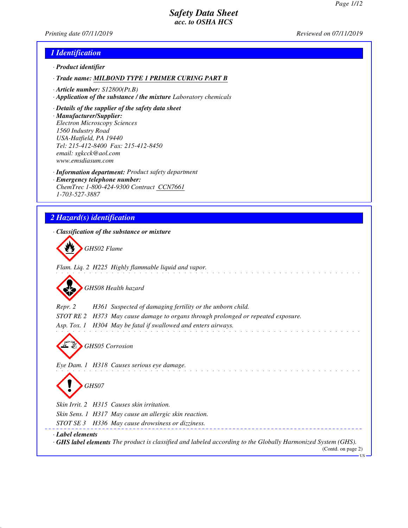*Printing date 07/11/2019 Reviewed on 07/11/2019*

# *1 Identification*

- *· Product identifier*
- *· Trade name: MILBOND TYPE 1 PRIMER CURING PART B*
- *· Article number: S12800(Pt.B)*
- *· Application of the substance / the mixture Laboratory chemicals*
- *· Details of the supplier of the safety data sheet*
- *· Manufacturer/Supplier: Electron Microscopy Sciences 1560 Industry Road USA-Hatfield, PA 19440 Tel: 215-412-8400 Fax: 215-412-8450 email: sgkcck@aol.com www.emsdiasum.com*
- *· Information department: Product safety department*
- *· Emergency telephone number: ChemTrec 1-800-424-9300 Contract CCN7661 1-703-527-3887*

# *2 Hazard(s) identification*

| · Classification of the substance or mixture                                                                                                               |
|------------------------------------------------------------------------------------------------------------------------------------------------------------|
| GHS02 Flame                                                                                                                                                |
| Flam. Liq. 2 H225 Highly flammable liquid and vapor.                                                                                                       |
| GHS08 Health hazard                                                                                                                                        |
| Repr. 2<br>H361 Suspected of damaging fertility or the unborn child.                                                                                       |
| STOT RE 2<br>H373 May cause damage to organs through prolonged or repeated exposure.                                                                       |
| Asp. Tox. 1 H304 May be fatal if swallowed and enters airways.                                                                                             |
| <b>GHS05</b> Corrosion<br>Eye Dam. 1 H318 Causes serious eye damage.                                                                                       |
| GHS07                                                                                                                                                      |
| Skin Irrit. 2 H315 Causes skin irritation.                                                                                                                 |
| Skin Sens. 1 H317 May cause an allergic skin reaction.                                                                                                     |
| STOT SE 3 H336 May cause drowsiness or dizziness.                                                                                                          |
| Label elements<br><b>GHS label elements</b> The product is classified and labeled according to the Globally Harmonized System (GHS).<br>(Contd. on page 2) |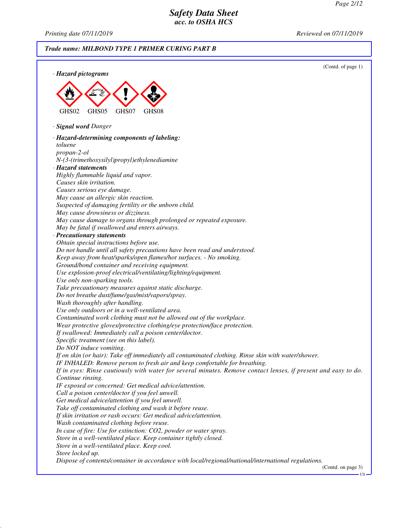US

### *Safety Data Sheet acc. to OSHA HCS*

*Printing date 07/11/2019 Reviewed on 07/11/2019*

### *Trade name: MILBOND TYPE 1 PRIMER CURING PART B* (Contd. of page 1) *· Hazard pictograms* GHS02 GHS05 GHS07 GHS08 *· Signal word Danger · Hazard-determining components of labeling: toluene propan-2-ol N-(3-(trimethoxysilyl)propyl)ethylenediamine · Hazard statements Highly flammable liquid and vapor. Causes skin irritation. Causes serious eye damage. May cause an allergic skin reaction. Suspected of damaging fertility or the unborn child. May cause drowsiness or dizziness. May cause damage to organs through prolonged or repeated exposure. May be fatal if swallowed and enters airways. · Precautionary statements Obtain special instructions before use. Do not handle until all safety precautions have been read and understood. Keep away from heat/sparks/open flames/hot surfaces. - No smoking. Ground/bond container and receiving equipment. Use explosion-proof electrical/ventilating/lighting/equipment. Use only non-sparking tools. Take precautionary measures against static discharge. Do not breathe dust/fume/gas/mist/vapors/spray. Wash thoroughly after handling. Use only outdoors or in a well-ventilated area. Contaminated work clothing must not be allowed out of the workplace. Wear protective gloves/protective clothing/eye protection/face protection. If swallowed: Immediately call a poison center/doctor. Specific treatment (see on this label). Do NOT induce vomiting. If on skin (or hair): Take off immediately all contaminated clothing. Rinse skin with water/shower. IF INHALED: Remove person to fresh air and keep comfortable for breathing. If in eyes: Rinse cautiously with water for several minutes. Remove contact lenses, if present and easy to do. Continue rinsing. IF exposed or concerned: Get medical advice/attention. Call a poison center/doctor if you feel unwell. Get medical advice/attention if you feel unwell. Take off contaminated clothing and wash it before reuse. If skin irritation or rash occurs: Get medical advice/attention. Wash contaminated clothing before reuse. In case of fire: Use for extinction: CO2, powder or water spray. Store in a well-ventilated place. Keep container tightly closed. Store in a well-ventilated place. Keep cool. Store locked up. Dispose of contents/container in accordance with local/regional/national/international regulations.* (Contd. on page 3)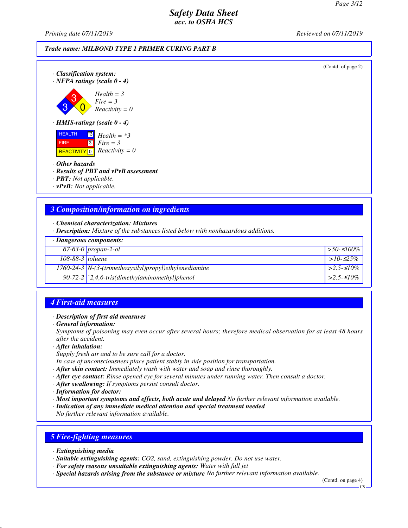*Printing date 07/11/2019 Reviewed on 07/11/2019*

#### *Trade name: MILBOND TYPE 1 PRIMER CURING PART B*



- *· Other hazards*
- *· Results of PBT and vPvB assessment*
- *· PBT: Not applicable.*
- *· vPvB: Not applicable.*

#### *3 Composition/information on ingredients*

*· Chemical characterization: Mixtures*

*· Description: Mixture of the substances listed below with nonhazardous additions.*

|                    | $\cdot$ Dangerous components:                            |                   |  |  |
|--------------------|----------------------------------------------------------|-------------------|--|--|
|                    | $67-63-0$ propan-2-ol                                    | $\geq 50.5100\%$  |  |  |
| $108-88-3$ toluene |                                                          | $>10-525\%$       |  |  |
|                    | $1760-24-3$ N-(3-(trimethoxysilyl)propyl)ethylenediamine | $  > 2.5 - 510\%$ |  |  |
|                    | 90-72-2 $\mid$ 2,4,6-tris(dimethylaminomethyl)phenol     | $  > 2.5 - 510\%$ |  |  |

#### *4 First-aid measures*

#### *· Description of first aid measures*

*· General information:*

*Symptoms of poisoning may even occur after several hours; therefore medical observation for at least 48 hours after the accident.*

*· After inhalation:*

*Supply fresh air and to be sure call for a doctor.*

- *In case of unconsciousness place patient stably in side position for transportation.*
- *· After skin contact: Immediately wash with water and soap and rinse thoroughly.*
- *· After eye contact: Rinse opened eye for several minutes under running water. Then consult a doctor.*
- *· After swallowing: If symptoms persist consult doctor.*
- *· Information for doctor:*

*· Most important symptoms and effects, both acute and delayed No further relevant information available.*

- *· Indication of any immediate medical attention and special treatment needed*
- *No further relevant information available.*

#### *5 Fire-fighting measures*

- *· Extinguishing media*
- *· Suitable extinguishing agents: CO2, sand, extinguishing powder. Do not use water.*
- *· For safety reasons unsuitable extinguishing agents: Water with full jet*
- *· Special hazards arising from the substance or mixture No further relevant information available.*

(Contd. on page 4)

US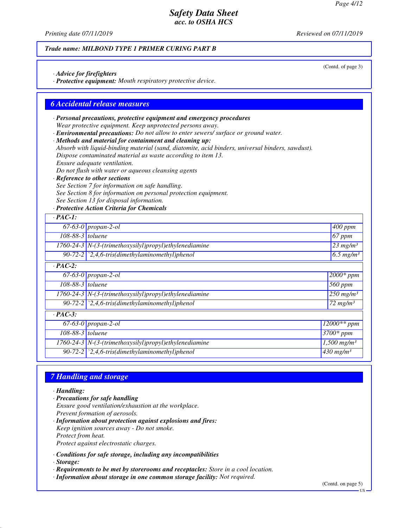*Printing date 07/11/2019 Reviewed on 07/11/2019*

#### *Trade name: MILBOND TYPE 1 PRIMER CURING PART B*

*· Advice for firefighters*

*· Protective equipment: Mouth respiratory protective device.*

#### *6 Accidental release measures*

- *· Personal precautions, protective equipment and emergency procedures Wear protective equipment. Keep unprotected persons away.*
- *· Environmental precautions: Do not allow to enter sewers/ surface or ground water.*
- *· Methods and material for containment and cleaning up:*
- *Absorb with liquid-binding material (sand, diatomite, acid binders, universal binders, sawdust).*
- *Dispose contaminated material as waste according to item 13.*
- *Ensure adequate ventilation.*
- *Do not flush with water or aqueous cleansing agents*
- *· Reference to other sections*
- *See Section 7 for information on safe handling.*
- *See Section 8 for information on personal protection equipment.*
- *See Section 13 for disposal information.*

*· Protective Action Criteria for Chemicals*

| $\cdot$ PAC-1:   |                                                                    |                                |
|------------------|--------------------------------------------------------------------|--------------------------------|
|                  | $67-63-0$ propan-2-ol                                              | $400$ ppm                      |
| 108-88-3 toluene |                                                                    | 67 ppm                         |
|                  | $1760-24-3$ N-(3-(trimethoxysilyl)propyl)ethylenediamine           | $23$ mg/m <sup>3</sup>         |
|                  | 90-72-2 $\langle 2,4,6\text{-}tris$ (dimethylaminomethyl)phenol    | $\sqrt{6.5}$ mg/m <sup>3</sup> |
| $\cdot$ PAC-2:   |                                                                    |                                |
|                  | $67-63-0$ propan-2-ol                                              | $\sqrt{2000*ppm}$              |
| 108-88-3 toluene |                                                                    | 560 ppm                        |
|                  | $1760-24-3$ N-(3-(trimethoxysilyl)propyl)ethylenediamine           | $250$ mg/m <sup>3</sup>        |
|                  | $90-72-2$ $\mid$ $2,4,6-tris$ (dimethylaminomethyl) phenol         | $\sqrt{72}$ mg/m <sup>3</sup>  |
| $\cdot$ PAC-3:   |                                                                    |                                |
|                  | $\overline{67-63}$ -0   propan-2-ol                                | $12000**$ ppm                  |
| 108-88-3 toluene |                                                                    | $3700*$ ppm                    |
|                  | 1760-24-3   N-(3-(trimethoxysilyl)propyl)ethylenediamine           | $1,500$ mg/m <sup>3</sup>      |
|                  | 90-72-2 $\langle 2, 4, 6\text{-}tris$ (dimethylaminomethyl) phenol | $430$ mg/m <sup>3</sup>        |

#### *7 Handling and storage*

*· Handling:*

- *· Precautions for safe handling Ensure good ventilation/exhaustion at the workplace. Prevent formation of aerosols.*
- *· Information about protection against explosions and fires: Keep ignition sources away - Do not smoke. Protect from heat. Protect against electrostatic charges.*
- *· Conditions for safe storage, including any incompatibilities · Storage:*
- *· Requirements to be met by storerooms and receptacles: Store in a cool location.*
- *· Information about storage in one common storage facility: Not required.*

(Contd. of page 3)

US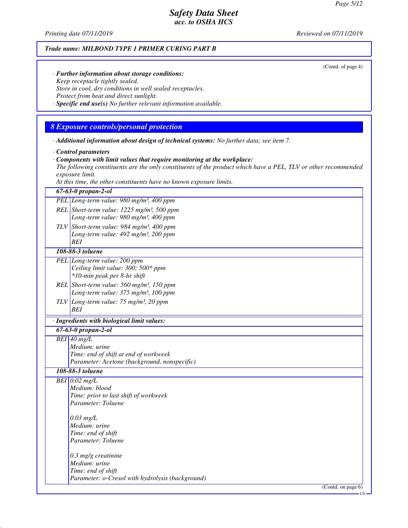*Printing date 07/11/2019 Reviewed on 07/11/2019*

#### *Trade name: MILBOND TYPE 1 PRIMER CURING PART B*

(Contd. of page 4)

- *· Further information about storage conditions: Keep receptacle tightly sealed. Store in cool, dry conditions in well sealed receptacles. Protect from heat and direct sunlight.*
- *· Specific end use(s) No further relevant information available.*

### *8 Exposure controls/personal protection*

*· Additional information about design of technical systems: No further data; see item 7.*

- *· Control parameters*
- *· Components with limit values that require monitoring at the workplace:*

*The following constituents are the only constituents of the product which have a PEL, TLV or other recommended exposure limit.*

*At this time, the other constituents have no known exposure limits.*

| ні тіз ите, іне отет сонзийениз наче по кномп ехрозите итиз. |
|--------------------------------------------------------------|
| $67 - 63 - 0$ propan-2-ol                                    |
| PEL Long-term value: 980 mg/m <sup>3</sup> , 400 ppm         |
| REL Short-term value: $1225$ mg/m <sup>3</sup> , 500 ppm     |
| Long-term value: 980 mg/m <sup>3</sup> , 400 ppm             |
| TLV Short-term value: 984 mg/m <sup>3</sup> , 400 ppm        |
| Long-term value: 492 mg/m <sup>3</sup> , 200 ppm             |
| <b>BEI</b>                                                   |
| 108-88-3 toluene                                             |
| PEL Long-term value: 200 ppm                                 |
| Ceiling limit value: 300; 500* ppm                           |
| *10-min peak per 8-hr shift                                  |
| REL Short-term value: $560$ mg/m <sup>3</sup> , 150 ppm      |
| Long-term value: 375 mg/m <sup>3</sup> , 100 ppm             |
| TLV Long-term value: $75 \text{ mg/m}^3$ , 20 ppm            |
| BEI                                                          |
| · Ingredients with biological limit values:                  |
| 67-63-0 propan-2-ol                                          |
| $BEI$ 40 mg/L                                                |
| Medium: urine                                                |
| Time: end of shift at end of workweek                        |
| Parameter: Acetone (background, nonspecific)                 |
| 108-88-3 toluene                                             |
| $BEI$ 0.02 mg/L                                              |
| Medium: blood                                                |
| Time: prior to last shift of workweek                        |
| Parameter: Toluene                                           |
| $0.03$ mg/L                                                  |
| Medium: urine                                                |
| Time: end of shift                                           |
| Parameter: Toluene                                           |
|                                                              |
| $0.3$ mg/g creatinine                                        |
| Medium: urine                                                |
| Time: end of shift                                           |
| Parameter: o-Cresol with hydrolysis (background)             |
| (Cont <sub>0</sub> n n a <sub>0</sub> )                      |

 $(Con(a,$ 

US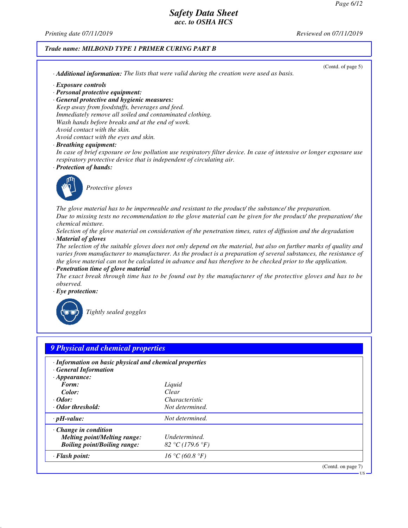*Printing date 07/11/2019 Reviewed on 07/11/2019*

### *Trade name: MILBOND TYPE 1 PRIMER CURING PART B*

| (Contd. of page 5)                                                                                                                                                                             |  |
|------------------------------------------------------------------------------------------------------------------------------------------------------------------------------------------------|--|
| · Additional information: The lists that were valid during the creation were used as basis.                                                                                                    |  |
| · Exposure controls                                                                                                                                                                            |  |
| · Personal protective equipment:                                                                                                                                                               |  |
| · General protective and hygienic measures:                                                                                                                                                    |  |
| Keep away from foodstuffs, beverages and feed.                                                                                                                                                 |  |
| Immediately remove all soiled and contaminated clothing.                                                                                                                                       |  |
| Wash hands before breaks and at the end of work.                                                                                                                                               |  |
| Avoid contact with the skin.                                                                                                                                                                   |  |
| Avoid contact with the eyes and skin.                                                                                                                                                          |  |
| · Breathing equipment:                                                                                                                                                                         |  |
| In case of brief exposure or low pollution use respiratory filter device. In case of intensive or longer exposure use<br>respiratory protective device that is independent of circulating air. |  |
| · Protection of hands:                                                                                                                                                                         |  |
|                                                                                                                                                                                                |  |
|                                                                                                                                                                                                |  |
| Protective gloves                                                                                                                                                                              |  |
|                                                                                                                                                                                                |  |
|                                                                                                                                                                                                |  |
| The glove material has to be impermeable and resistant to the product/ the substance/ the preparation.                                                                                         |  |
| Due to missing tests no recommendation to the glove material can be given for the product/ the preparation/ the<br>chemical mixture.                                                           |  |
|                                                                                                                                                                                                |  |
| Selection of the glove material on consideration of the penetration times, rates of diffusion and the degradation                                                                              |  |
| · Material of gloves<br>The selection of the suitable gloves does not only depend on the material, but also on further marks of quality and                                                    |  |
| varies from manufacturer to manufacturer. As the product is a preparation of several substances, the resistance of                                                                             |  |
| the glove material can not be calculated in advance and has therefore to be checked prior to the application.                                                                                  |  |
| · Penetration time of glove material                                                                                                                                                           |  |
| The exact break through time has to be found out by the manufacturer of the protective gloves and has to be                                                                                    |  |
| observed.                                                                                                                                                                                      |  |
| $\cdot$ Eye protection:                                                                                                                                                                        |  |
|                                                                                                                                                                                                |  |
|                                                                                                                                                                                                |  |
| Tightly sealed goggles                                                                                                                                                                         |  |
|                                                                                                                                                                                                |  |
|                                                                                                                                                                                                |  |
|                                                                                                                                                                                                |  |
| 9 Physical and chemical properties                                                                                                                                                             |  |
|                                                                                                                                                                                                |  |
| · Information on basic physical and chemical properties                                                                                                                                        |  |
| <b>General Information</b>                                                                                                                                                                     |  |

| $\cdot$ <i>Appearance</i> :         |                       |                    |
|-------------------------------------|-----------------------|--------------------|
| Form:                               | Liquid                |                    |
| Color:                              | Clear                 |                    |
| $\cdot$ Odor:                       | <i>Characteristic</i> |                    |
| Odor threshold:                     | Not determined.       |                    |
| $\cdot$ pH-value:                   | Not determined.       |                    |
| $\cdot$ Change in condition         |                       |                    |
| <b>Melting point/Melting range:</b> | Undetermined.         |                    |
| <b>Boiling point/Boiling range:</b> | 82 °C (179.6 °F)      |                    |
| $\cdot$ Flash point:                | 16 °C (60.8 °F)       |                    |
|                                     |                       | (Contd. on page 7) |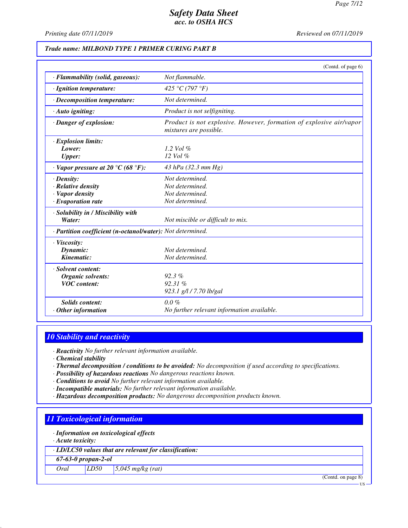*Printing date 07/11/2019 Reviewed on 07/11/2019*

#### *Trade name: MILBOND TYPE 1 PRIMER CURING PART B*

|                                                                                       | (Contd. of page 6)                                                                            |
|---------------------------------------------------------------------------------------|-----------------------------------------------------------------------------------------------|
| · Flammability (solid, gaseous):                                                      | Not flammable.                                                                                |
| · Ignition temperature:                                                               | 425 °C (797 °F)                                                                               |
| · Decomposition temperature:                                                          | Not determined.                                                                               |
| $\cdot$ Auto igniting:                                                                | Product is not selfigniting.                                                                  |
| · Danger of explosion:                                                                | Product is not explosive. However, formation of explosive air/vapor<br>mixtures are possible. |
| · Explosion limits:<br>Lower:<br><b>Upper:</b>                                        | 1.2 Vol $\%$<br>12 Vol %                                                                      |
| $\cdot$ Vapor pressure at 20 $\degree$ C (68 $\degree$ F):                            | 43 hPa (32.3 mm Hg)                                                                           |
| $\cdot$ Density:<br>· Relative density<br>· Vapor density<br>$\cdot$ Evaporation rate | Not determined.<br>Not determined.<br>Not determined.<br>Not determined.                      |
| · Solubility in / Miscibility with<br>Water:                                          | Not miscible or difficult to mix.                                                             |
| · Partition coefficient (n-octanol/water): Not determined.                            |                                                                                               |
| $\cdot$ Viscosity:<br>Dynamic:<br>Kinematic:                                          | Not determined.<br>Not determined.                                                            |
| · Solvent content:<br><b>Organic solvents:</b><br><b>VOC</b> content:                 | $92.3\%$<br>92.31%<br>923.1 g/l / 7.70 lb/gal                                                 |
| Solids content:<br>$\cdot$ Other information                                          | $0.0\%$<br>No further relevant information available.                                         |

#### *10 Stability and reactivity*

*· Reactivity No further relevant information available.*

*· Chemical stability*

- *· Thermal decomposition / conditions to be avoided: No decomposition if used according to specifications.*
- *· Possibility of hazardous reactions No dangerous reactions known.*
- *· Conditions to avoid No further relevant information available.*
- *· Incompatible materials: No further relevant information available.*
- *· Hazardous decomposition products: No dangerous decomposition products known.*

# *11 Toxicological information*

*· Information on toxicological effects*

*· Acute toxicity:*

*· LD/LC50 values that are relevant for classification:*

*67-63-0 propan-2-ol*

*Oral LD50 5,045 mg/kg (rat)*

(Contd. on page 8)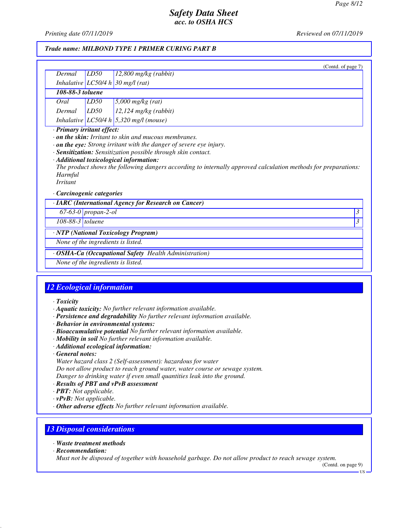*Printing date 07/11/2019 Reviewed on 07/11/2019*

#### *Trade name: MILBOND TYPE 1 PRIMER CURING PART B*

|                                                               |                     | (Contd. of page 7)                                                                                                                                                                                                                                                                                      |   |
|---------------------------------------------------------------|---------------------|---------------------------------------------------------------------------------------------------------------------------------------------------------------------------------------------------------------------------------------------------------------------------------------------------------|---|
| Dermal                                                        | LD50                | $12,800$ mg/kg (rabbit)                                                                                                                                                                                                                                                                                 |   |
|                                                               |                     | Inhalative $LC50/4 h$ 30 mg/l (rat)                                                                                                                                                                                                                                                                     |   |
| 108-88-3 toluene                                              |                     |                                                                                                                                                                                                                                                                                                         |   |
| Oral                                                          | LD50                | $5,000$ mg/kg (rat)                                                                                                                                                                                                                                                                                     |   |
| Dermal                                                        | LD50                | $12,124$ mg/kg (rabbit)                                                                                                                                                                                                                                                                                 |   |
|                                                               |                     | Inhalative LC50/4 h 5,320 mg/l (mouse)                                                                                                                                                                                                                                                                  |   |
| Harmful<br><i>Irritant</i><br>$\cdot$ Carcinogenic categories |                     | $\cdot$ on the eye: Strong irritant with the danger of severe eye injury.<br>· Sensitization: Sensitization possible through skin contact.<br>· Additional toxicological information:<br>The product shows the following dangers according to internally approved calculation methods for preparations: |   |
|                                                               |                     | · IARC (International Agency for Research on Cancer)                                                                                                                                                                                                                                                    |   |
|                                                               | 67-63-0 propan-2-ol |                                                                                                                                                                                                                                                                                                         | 3 |
| 108-88-3 toluene                                              |                     |                                                                                                                                                                                                                                                                                                         | 3 |
|                                                               |                     | · NTP (National Toxicology Program)                                                                                                                                                                                                                                                                     |   |
| None of the ingredients is listed.                            |                     |                                                                                                                                                                                                                                                                                                         |   |
|                                                               |                     | · OSHA-Ca (Occupational Safety Health Administration)                                                                                                                                                                                                                                                   |   |

*None of the ingredients is listed.*

### *12 Ecological information*

- *· Toxicity*
- *· Aquatic toxicity: No further relevant information available.*
- *· Persistence and degradability No further relevant information available.*
- *· Behavior in environmental systems:*
- *· Bioaccumulative potential No further relevant information available.*
- *· Mobility in soil No further relevant information available.*
- *· Additional ecological information:*
- *· General notes:*
- *Water hazard class 2 (Self-assessment): hazardous for water Do not allow product to reach ground water, water course or sewage system. Danger to drinking water if even small quantities leak into the ground.*
- *· Results of PBT and vPvB assessment*
- *· PBT: Not applicable.*
- *· vPvB: Not applicable.*
- *· Other adverse effects No further relevant information available.*

# *13 Disposal considerations*

- *· Waste treatment methods*
- *· Recommendation:*

*Must not be disposed of together with household garbage. Do not allow product to reach sewage system.*

(Contd. on page 9)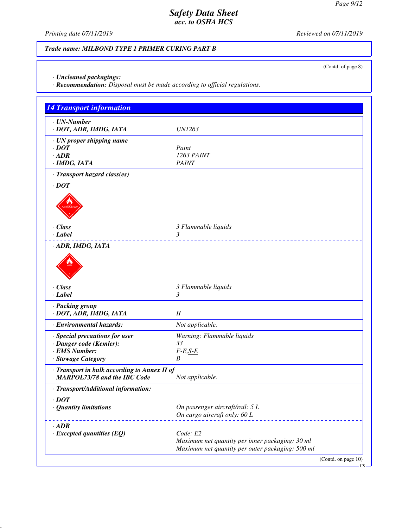(Contd. of page 8)

## *Safety Data Sheet acc. to OSHA HCS*

*Printing date 07/11/2019 Reviewed on 07/11/2019*

### *Trade name: MILBOND TYPE 1 PRIMER CURING PART B*

*· Uncleaned packagings:*

*· Recommendation: Disposal must be made according to official regulations.*

| <b>14 Transport information</b>              |                                                                                                     |                               |
|----------------------------------------------|-----------------------------------------------------------------------------------------------------|-------------------------------|
| $\cdot$ UN-Number                            |                                                                                                     |                               |
| · DOT, ADR, IMDG, IATA                       | <b>UN1263</b>                                                                                       |                               |
| · UN proper shipping name                    | Paint                                                                                               |                               |
| $\cdot$ DOT<br>$\cdot$ ADR                   | 1263 PAINT                                                                                          |                               |
| · IMDG, IATA                                 | <b>PAINT</b>                                                                                        |                               |
| · Transport hazard class(es)                 |                                                                                                     |                               |
| $\cdot$ DOT                                  |                                                                                                     |                               |
|                                              |                                                                                                     |                               |
|                                              |                                                                                                     |                               |
|                                              |                                                                                                     |                               |
| $\cdot$ Class                                |                                                                                                     |                               |
| $\cdot$ <i>Label</i>                         | 3 Flammable liquids<br>3                                                                            |                               |
| · ADR, IMDG, IATA                            |                                                                                                     |                               |
|                                              |                                                                                                     |                               |
|                                              |                                                                                                     |                               |
|                                              |                                                                                                     |                               |
|                                              |                                                                                                     |                               |
| $\cdot$ Class                                | 3 Flammable liquids<br>3                                                                            |                               |
| · Label                                      |                                                                                                     |                               |
| · Packing group<br>· DOT, ADR, IMDG, IATA    | $I\!I$                                                                                              |                               |
| · Environmental hazards:                     | Not applicable.                                                                                     |                               |
| · Special precautions for user               | Warning: Flammable liquids                                                                          |                               |
| · Danger code (Kemler):                      | 33                                                                                                  |                               |
| · EMS Number:                                | $F-E, S-E$                                                                                          |                               |
| · Stowage Category                           | B                                                                                                   |                               |
| · Transport in bulk according to Annex II of |                                                                                                     |                               |
| MARPOL73/78 and the IBC Code                 | Not applicable.                                                                                     |                               |
| · Transport/Additional information:          |                                                                                                     |                               |
| $\cdot$ DOT                                  |                                                                                                     |                               |
| · Quantity limitations                       | On passenger aircraft/rail: 5 L                                                                     |                               |
|                                              | On cargo aircraft only: 60 L                                                                        |                               |
| $\cdot$ ADR                                  |                                                                                                     |                               |
| $\cdot$ Excepted quantities (EQ)             | Code: E2                                                                                            |                               |
|                                              | Maximum net quantity per inner packaging: 30 ml<br>Maximum net quantity per outer packaging: 500 ml |                               |
|                                              |                                                                                                     |                               |
|                                              |                                                                                                     | (Contd. on page 10)<br>- US – |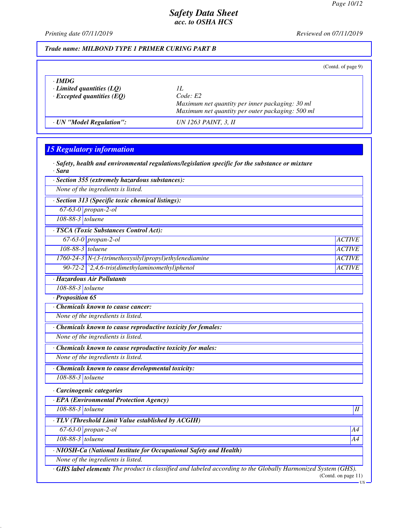*Printing date 07/11/2019 Reviewed on 07/11/2019*

#### *Trade name: MILBOND TYPE 1 PRIMER CURING PART B*

|                                  |                                                  | (Contd. of page 9) |
|----------------------------------|--------------------------------------------------|--------------------|
| $\cdot$ IMDG                     |                                                  |                    |
| Limited quantities $(LQ)$        | H.                                               |                    |
| $\cdot$ Excepted quantities (EQ) | Code: E2                                         |                    |
|                                  | Maximum net quantity per inner packaging: 30 ml  |                    |
|                                  | Maximum net quantity per outer packaging: 500 ml |                    |
| · UN "Model Regulation":         | UN 1263 PAINT, 3, II                             |                    |

# *15 Regulatory information*

|        |  | $\cdot$ Safety, health and environmental regulations/legislation specific for the substance or mixture |  |  |
|--------|--|--------------------------------------------------------------------------------------------------------|--|--|
| · Sara |  |                                                                                                        |  |  |

*· Section 355 (extremely hazardous substances):*

*None of the ingredients is listed.*

*· Section 313 (Specific toxic chemical listings):*

*67-63-0 propan-2-ol*

*108-88-3 toluene*

*· TSCA (Toxic Substances Control Act):*

| · Hazardous Air Pollutants |                                                                          |               |  |  |
|----------------------------|--------------------------------------------------------------------------|---------------|--|--|
|                            | 90-72-2 $\left\lceil 2,4,6\right\rceil$ -tris(dimethylaminomethyl)phenol | <b>ACTIVE</b> |  |  |
|                            | $1760-24-3$ N-(3-(trimethoxysilyl)propyl)ethylenediamine                 | ACTIVE        |  |  |
| $108-88-3$ toluene         |                                                                          | ACTIVE        |  |  |
|                            | 67-63-0 propan-2-ol                                                      | <b>ACTIVE</b> |  |  |
|                            |                                                                          |               |  |  |

*108-88-3 toluene*

*· Proposition 65*

*· Chemicals known to cause cancer:*

*None of the ingredients is listed.*

*· Chemicals known to cause reproductive toxicity for females:*

*None of the ingredients is listed.*

*· Chemicals known to cause reproductive toxicity for males:*

*None of the ingredients is listed.*

*· Chemicals known to cause developmental toxicity:*

*108-88-3 toluene*

*· Carcinogenic categories*

*· EPA (Environmental Protection Agency)*

*108-88-3 toluene II*

*· TLV (Threshold Limit Value established by ACGIH)*

*67-63-0 propan-2-ol A4*

*108-88-3 toluene A4*

*· NIOSH-Ca (National Institute for Occupational Safety and Health)*

*None of the ingredients is listed.*

*· GHS label elements The product is classified and labeled according to the Globally Harmonized System (GHS).* (Contd. on page 11)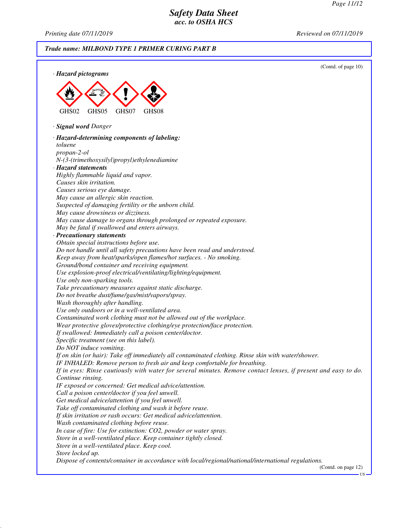*Printing date 07/11/2019 Reviewed on 07/11/2019*

#### *Trade name: MILBOND TYPE 1 PRIMER CURING PART B* (Contd. of page 10) *· Hazard pictograms* GHS02 GHS05 GHS07 GHS08 *· Signal word Danger · Hazard-determining components of labeling: toluene propan-2-ol N-(3-(trimethoxysilyl)propyl)ethylenediamine · Hazard statements Highly flammable liquid and vapor. Causes skin irritation. Causes serious eye damage. May cause an allergic skin reaction. Suspected of damaging fertility or the unborn child. May cause drowsiness or dizziness. May cause damage to organs through prolonged or repeated exposure. May be fatal if swallowed and enters airways. · Precautionary statements Obtain special instructions before use. Do not handle until all safety precautions have been read and understood. Keep away from heat/sparks/open flames/hot surfaces. - No smoking. Ground/bond container and receiving equipment. Use explosion-proof electrical/ventilating/lighting/equipment. Use only non-sparking tools. Take precautionary measures against static discharge. Do not breathe dust/fume/gas/mist/vapors/spray. Wash thoroughly after handling. Use only outdoors or in a well-ventilated area. Contaminated work clothing must not be allowed out of the workplace. Wear protective gloves/protective clothing/eye protection/face protection. If swallowed: Immediately call a poison center/doctor. Specific treatment (see on this label). Do NOT induce vomiting. If on skin (or hair): Take off immediately all contaminated clothing. Rinse skin with water/shower. IF INHALED: Remove person to fresh air and keep comfortable for breathing. If in eyes: Rinse cautiously with water for several minutes. Remove contact lenses, if present and easy to do. Continue rinsing. IF exposed or concerned: Get medical advice/attention. Call a poison center/doctor if you feel unwell. Get medical advice/attention if you feel unwell. Take off contaminated clothing and wash it before reuse. If skin irritation or rash occurs: Get medical advice/attention. Wash contaminated clothing before reuse. In case of fire: Use for extinction: CO2, powder or water spray. Store in a well-ventilated place. Keep container tightly closed. Store in a well-ventilated place. Keep cool. Store locked up. Dispose of contents/container in accordance with local/regional/national/international regulations.* (Contd. on page 12)